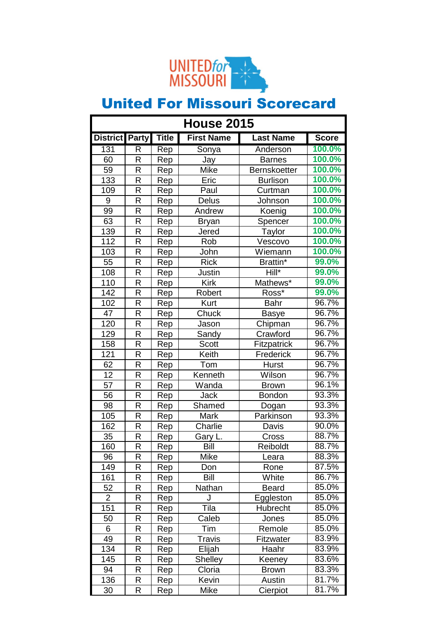

| <b>House 2015</b>    |             |     |                   |                     |              |
|----------------------|-------------|-----|-------------------|---------------------|--------------|
| District Party Title |             |     | <b>First Name</b> | <b>Last Name</b>    | <b>Score</b> |
| 131                  | R           | Rep | Sonya             | Anderson            | 100.0%       |
| 60                   | R           | Rep | Jay               | <b>Barnes</b>       | 100.0%       |
| 59                   | R           | Rep | Mike              | <b>Bernskoetter</b> | 100.0%       |
| 133                  | R           | Rep | Eric              | <b>Burlison</b>     | 100.0%       |
| 109                  | R           | Rep | Paul              | Curtman             | 100.0%       |
| 9                    | R           | Rep | Delus             | Johnson             | 100.0%       |
| 99                   | R           | Rep | Andrew            | Koenig              | 100.0%       |
| 63                   | R           | Rep | <b>Bryan</b>      | Spencer             | 100.0%       |
| 139                  | R           | Rep | Jered             | <b>Taylor</b>       | 100.0%       |
| 112                  | R           | Rep | Rob               | Vescovo             | 100.0%       |
| 103                  | R           | Rep | John              | Wiemann             | 100.0%       |
| 55                   | R           | Rep | <b>Rick</b>       | Brattin*            | 99.0%        |
| 108                  | R           | Rep | Justin            | Hill*               | 99.0%        |
| 110                  | R           | Rep | <b>Kirk</b>       | Mathews*            | 99.0%        |
| 142                  | R           | Rep | Robert            | Ross*               | 99.0%        |
| 102                  | R           | Rep | Kurt              | <b>Bahr</b>         | 96.7%        |
| 47                   | R           | Rep | Chuck             | <b>Basye</b>        | 96.7%        |
| 120                  | R           | Rep | Jason             | Chipman             | 96.7%        |
| 129                  | R           | Rep | Sandy             | Crawford            | 96.7%        |
| 158                  | R           | Rep | Scott             | Fitzpatrick         | 96.7%        |
| 121                  | R           | Rep | Keith             | Frederick           | 96.7%        |
| 62                   | R           | Rep | Tom               | <b>Hurst</b>        | 96.7%        |
| 12                   | R           | Rep | Kenneth           | Wilson              | 96.7%        |
| 57                   | R           | Rep | Wanda             | <b>Brown</b>        | 96.1%        |
| 56                   | R           | Rep | <b>Jack</b>       | <b>Bondon</b>       | 93.3%        |
| 98                   | R           | Rep | Shamed            | Dogan               | 93.3%        |
| 105                  | R           | Rep | <b>Mark</b>       | Parkinson           | 93.3%        |
| 162                  | R           | Rep | Charlie           | Davis               | 90.0%        |
| 35                   | R           | Rep | Gary L.           | Cross               | 88.7%        |
| 160                  | К           | Rep | Bill              | Reiboldt            | 88.7%        |
| 96                   | R           | Rep | Mike              | Leara               | 88.3%        |
| 149                  | R           | Rep | Don               | Rone                | 87.5%        |
| 161                  | R           | Rep | Bill              | White               | 86.7%        |
| 52                   | R           | Rep | Nathan            | <b>Beard</b>        | 85.0%        |
| $\overline{2}$       | R           | Rep | J                 | Eggleston           | 85.0%        |
| 151                  | R           | Rep | Tila              | Hubrecht            | 85.0%        |
| 50                   | R           | Rep | Caleb             | Jones               | 85.0%        |
| 6                    | R           | Rep | Tim               | Remole              | 85.0%        |
| 49                   | R           | Rep | Travis            | Fitzwater           | 83.9%        |
| 134                  | R           | Rep | Elijah            | Haahr               | 83.9%        |
| 145                  | R           | Rep | <b>Shelley</b>    | Keeney              | 83.6%        |
| 94                   | R           | Rep | Cloria            | <b>Brown</b>        | 83.3%        |
| 136                  | R           | Rep | Kevin             | Austin              | 81.7%        |
| 30                   | $\mathsf R$ | Rep | Mike              | Cierpiot            | 81.7%        |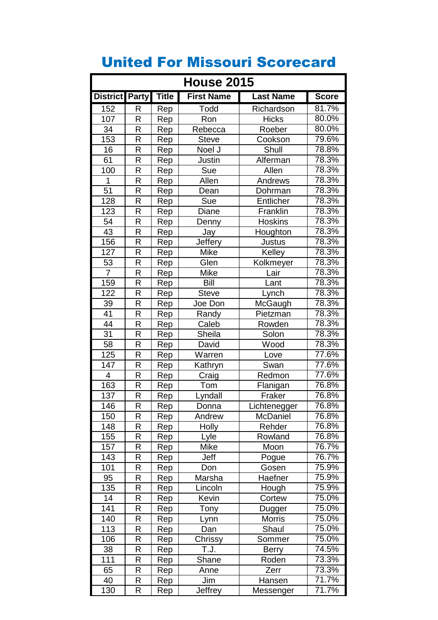| <b>House 2015</b> |        |              |                   |                     |                |
|-------------------|--------|--------------|-------------------|---------------------|----------------|
| District Party    |        | <b>Title</b> | <b>First Name</b> | <b>Last Name</b>    | <b>Score</b>   |
| 152               | R      | Rep          | Todd              | Richardson          | 81.7%          |
| 107               | R      | Rep          | Ron               | <b>Hicks</b>        | 80.0%          |
| 34                | R      | Rep          | Rebecca           | Roeber              | 80.0%          |
| 153               | R      | Rep          | <b>Steve</b>      | Cookson             | 79.6%          |
| 16                | R      | Rep          | Noel J            | Shull               | 78.8%          |
| 61                | R      | Rep          | Justin            | Alferman            | 78.3%          |
| 100               | R      | Rep          | Sue               | Allen               | 78.3%          |
| 1                 | R      | Rep          | Allen             | Andrews             | 78.3%          |
| $\overline{51}$   | R      | Rep          | Dean              | Dohrman             | 78.3%          |
| 128               | R      | Rep          | Sue               | Entlicher           | 78.3%          |
| 123               | R      | Rep          | Diane             | Franklin            | 78.3%          |
| 54                | R      | Rep          | Denny             | <b>Hoskins</b>      | 78.3%          |
| 43                | R      | Rep          | Jay               | Houghton            | 78.3%          |
| 156               | R      | Rep          | <b>Jeffery</b>    | Justus              | 78.3%          |
| 127               | R      | Rep          | Mike              | Kelley              | 78.3%          |
| 53                | R      | Rep          | Glen              | Kolkmeyer           | 78.3%          |
| $\overline{7}$    | R      | Rep          | Mike              | Lair                | 78.3%          |
| 159               | R      | Rep          | Bill              | Lant                | 78.3%          |
| 122               | R      | Rep          | <b>Steve</b>      | Lynch               | 78.3%          |
| 39                | R      | Rep          | Joe Don           | McGaugh             | 78.3%          |
| 41                | R      | Rep          | Randy             | Pietzman            | 78.3%          |
| 44                | R      | Rep          | Caleb             | Rowden              | 78.3%          |
| 31                | R      | Rep          | Sheila            | Solon               | 78.3%          |
| 58                | R      | Rep          | David             | Wood                | 78.3%          |
| 125               | R      | Rep          | Warren            | Love                | 77.6%          |
| 147               | R      | Rep          | Kathryn           | Swan                | 77.6%          |
| 4                 | R      | Rep          | Craig             | Redmon              | 77.6%          |
| 163               | R      | Rep          | Tom               | Flanigan            | 76.8%          |
| 137               | R      | Rep          | Lyndall           | Fraker              | 76.8%          |
| 146               | R      | Rep          | Donna             | Lichtenegger        | 76.8%          |
| 150               | R      | Rep          | Andrew            | McDaniel            | 76.8%          |
| 148               | R      | Rep          | Holly             | Rehder              | 76.8%          |
| 155               | R      | Rep          | Lyle              | Rowland             | 76.8%          |
| 157               | R      | Rep          | Mike              | Moon                | 76.7%          |
| 143               | R      | Rep          | Jeff              | Pogue               | 76.7%          |
| 101               | R      | Rep          | Don               | Gosen               | 75.9%          |
| 95                | R      | Rep          | Marsha            | Haefner             | 75.9%          |
| 135               | R      | Rep          | Lincoln           | Hough               | 75.9%          |
| 14                | R      | Rep          | Kevin             | Cortew              | 75.0%          |
| 141               | R      | Rep          | Tony              | Dugger              | 75.0%          |
| 140               | R      | Rep          | Lynn              | <b>Morris</b>       | 75.0%          |
| 113               | R      | Rep          | Dan               | Shaul               | 75.0%          |
| 106               | R      | Rep          | Chrissy           | Sommer              | 75.0%          |
| 38                | R      | Rep          | T.J.              | <b>Berry</b>        | 74.5%          |
| 111               | R      | Rep          | Shane             | Roden               | 73.3%          |
| 65                | R      | Rep          | Anne              | Zerr                | 73.3%<br>71.7% |
| 40                | R<br>R | Rep          | Jim<br>Jeffrey    | Hansen<br>Messenger | 71.7%          |
| 130               |        | Rep          |                   |                     |                |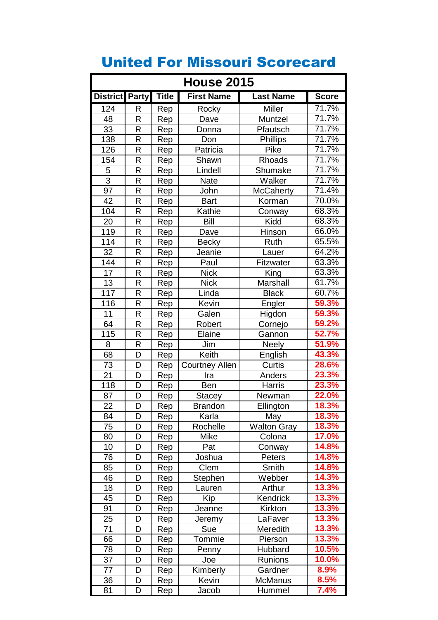| <b>House 2015</b> |   |              |                       |                    |              |
|-------------------|---|--------------|-----------------------|--------------------|--------------|
| District Party    |   | <b>Title</b> | <b>First Name</b>     | <b>Last Name</b>   | <b>Score</b> |
| 124               | R | Rep          | Rocky                 | Miller             | 71.7%        |
| 48                | R | Rep          | Dave                  | Muntzel            | 71.7%        |
| 33                | R | Rep          | Donna                 | Pfautsch           | 71.7%        |
| 138               | R | Rep          | Don                   | <b>Phillips</b>    | 71.7%        |
| 126               | R | Rep          | Patricia              | Pike               | 71.7%        |
| 154               | R | Rep          | Shawn                 | Rhoads             | 71.7%        |
| $\overline{5}$    | R | Rep          | Lindell               | Shumake            | 71.7%        |
| $\overline{3}$    | R | Rep          | <b>Nate</b>           | Walker             | 71.7%        |
| $\overline{97}$   | R | Rep          | John                  | <b>McCaherty</b>   | 71.4%        |
| 42                | R | Rep          | <b>Bart</b>           | Korman             | 70.0%        |
| 104               | R | Rep          | Kathie                | Conway             | 68.3%        |
| 20                | R | Rep          | <b>Bill</b>           | Kidd               | 68.3%        |
| $\overline{1}19$  | R | Rep          | Dave                  | Hinson             | 66.0%        |
| 114               | R | Rep          | <b>Becky</b>          | Ruth               | 65.5%        |
| 32                | R | Rep          | Jeanie                | Lauer              | 64.2%        |
| 144               | R | Rep          | Paul                  | Fitzwater          | 63.3%        |
| $\overline{17}$   | R | Rep          | <b>Nick</b>           | King               | 63.3%        |
| 13                | R | Rep          | <b>Nick</b>           | Marshall           | 61.7%        |
| 117               | R | Rep          | Linda                 | <b>Black</b>       | 60.7%        |
| 116               | R | Rep          | Kevin                 | Engler             | 59.3%        |
| 11                | R | Rep          | Galen                 | Higdon             | 59.3%        |
| 64                | R | Rep          | Robert                | Cornejo            | 59.2%        |
| 115               | R | Rep          | Elaine                | Gannon             | 52.7%        |
| 8                 | R | Rep          | Jim                   | <b>Neely</b>       | 51.9%        |
| 68                | D | Rep          | Keith                 | English            | 43.3%        |
| 73                | D | Rep          | <b>Courtney Allen</b> | Curtis             | 28.6%        |
| 21                | D | Rep          | Ira                   | Anders             | 23.3%        |
| $\overline{118}$  | D | Rep          | Ben                   | Harris             | 23.3%        |
| 87                | D | Rep          | Stacey                | Newman             | 22.0%        |
| 22                | D | Rep          | <b>Brandon</b>        | Ellington          | 18.3%        |
| 84                | D | Rep          | Karla                 | May                | 18.3%        |
| 75                | D | Rep          | Rochelle              | <b>Walton Gray</b> | 18.3%        |
| 80                | D | Rep          | Mike                  | Colona             | 17.0%        |
| 10                | D | Rep          | Pat                   | Conway             | 14.8%        |
| 76                | D | Rep          | Joshua                | Peters             | 14.8%        |
| 85                | D | Rep          | Clem                  | Smith              | 14.8%        |
| 46                | D | Rep          | Stephen               | Webber             | 14.3%        |
| 18                | D | Rep          | Lauren                | Arthur             | 13.3%        |
| 45                | D | Rep          | Kip                   | Kendrick           | 13.3%        |
| 91                | D | Rep          | Jeanne                | Kirkton            | 13.3%        |
| 25                | D | Rep          | Jeremy                | LaFaver            | 13.3%        |
| 71                | D | Rep          | Sue                   | Meredith           | 13.3%        |
| 66                | D | Rep          | Tommie                | Pierson            | 13.3%        |
| 78                | D | Rep          | Penny                 | Hubbard            | 10.5%        |
| 37                | D | Rep          | Joe                   | Runions            | 10.0%        |
| 77                | D | Rep          | Kimberly              | Gardner            | 8.9%         |
| 36                | D | Rep          | Kevin                 | McManus            | 8.5%         |
| 81                | D | Rep          | Jacob                 | Hummel             | 7.4%         |